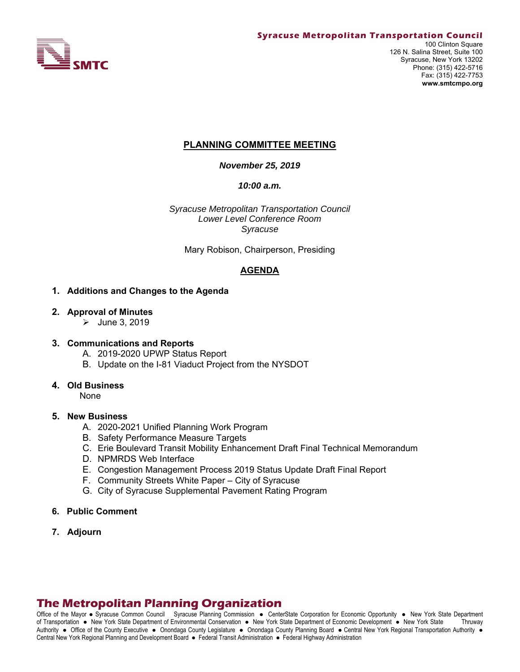

## **PLANNING COMMITTEE MEETING**

*November 25, 2019* 

*10:00 a.m.*

*Syracuse Metropolitan Transportation Council Lower Level Conference Room Syracuse* 

Mary Robison, Chairperson, Presiding

### **AGENDA**

### **1. Additions and Changes to the Agenda**

### **2. Approval of Minutes**

 $\blacktriangleright$  June 3, 2019

### **3. Communications and Reports**

- A. 2019-2020 UPWP Status Report
- B. Update on the I-81 Viaduct Project from the NYSDOT

### **4. Old Business**

None

### **5. New Business**

- A. 2020-2021 Unified Planning Work Program
- B. Safety Performance Measure Targets
- C. Erie Boulevard Transit Mobility Enhancement Draft Final Technical Memorandum
- D. NPMRDS Web Interface
- E. Congestion Management Process 2019 Status Update Draft Final Report
- F. Community Streets White Paper City of Syracuse
- G. City of Syracuse Supplemental Pavement Rating Program
- **6. Public Comment**
- **7. Adjourn**

# **The Metropolitan Planning Organization**

Office of the Mayor • Syracuse Common Council Syracuse Planning Commission • CenterState Corporation for Economic Opportunity • New York State Department of Transportation New York State Department of Environmental Conservation New York State Department of Economic Development New York State Thruway Authority . Office of the County Executive . Onondaga County Legislature . Onondaga County Planning Board . Central New York Regional Transportation Authority . Central New York Regional Planning and Development Board · Federal Transit Administration · Federal Highway Administration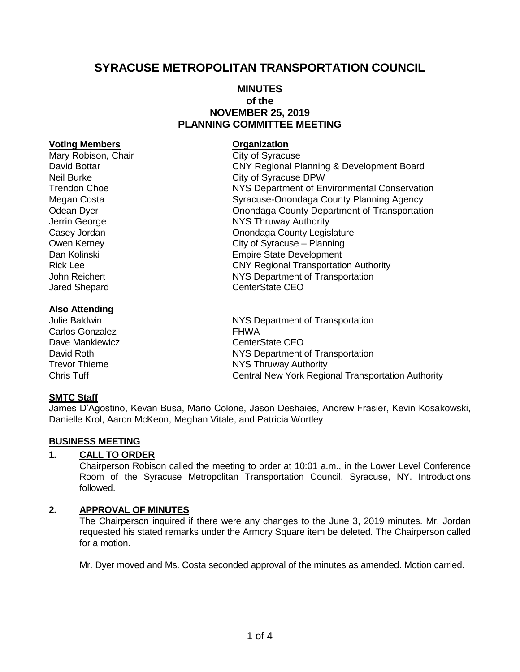# **SYRACUSE METROPOLITAN TRANSPORTATION COUNCIL**

### **MINUTES of the NOVEMBER 25, 2019 PLANNING COMMITTEE MEETING**

### **Voting Members Constanting Members Constanting Members**

Mary Robison, Chair Chair City of Syracuse David Bottar CNY Regional Planning & Development Board Neil Burke City of Syracuse DPW Trendon Choe NYS Department of Environmental Conservation Megan Costa **Syracuse-Onondaga County Planning Agency** Syracuse-Onondaga County Planning Agency Odean Dyer **Onondaga County Department of Transportation** Jerrin George **NYS Thruway Authority** Casey Jordan **Casey Jordan Casey Jordan Casey Jordan County Legislature** Casey Jordan County Legislature Owen Kerney **City of Syracuse** – Planning Dan Kolinski Empire State Development Rick Lee **CNY Regional Transportation Authority** John Reichert NYS Department of Transportation Jared Shepard **CenterState CEO** 

### **Also Attending**

# Julie Baldwin **NYS Department of Transportation** Carlos Gonzalez **FHWA** Dave Mankiewicz **CenterState CEO** David Roth NYS Department of Transportation

Trevor Thieme **NYS Thruway Authority** Chris Tuff Central New York Regional Transportation Authority

### **SMTC Staff**

James D'Agostino, Kevan Busa, Mario Colone, Jason Deshaies, Andrew Frasier, Kevin Kosakowski, Danielle Krol, Aaron McKeon, Meghan Vitale, and Patricia Wortley

### **BUSINESS MEETING**

### **1. CALL TO ORDER**

Chairperson Robison called the meeting to order at 10:01 a.m., in the Lower Level Conference Room of the Syracuse Metropolitan Transportation Council, Syracuse, NY. Introductions followed.

### **2. APPROVAL OF MINUTES**

The Chairperson inquired if there were any changes to the June 3, 2019 minutes. Mr. Jordan requested his stated remarks under the Armory Square item be deleted. The Chairperson called for a motion.

Mr. Dyer moved and Ms. Costa seconded approval of the minutes as amended. Motion carried.

# 1 of 4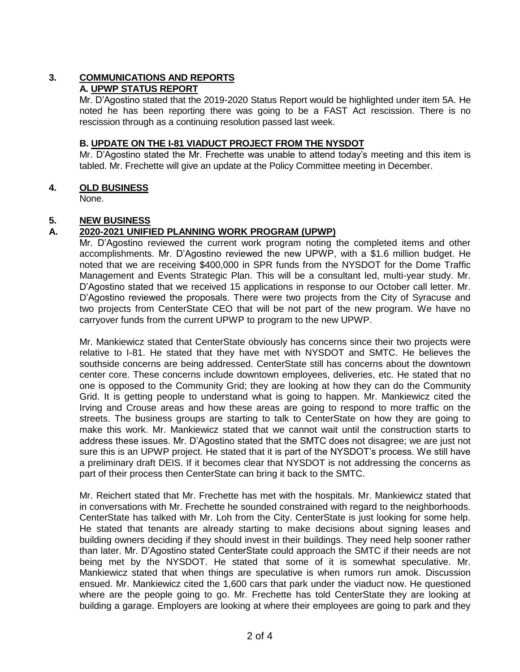# **3. COMMUNICATIONS AND REPORTS**

# **A. UPWP STATUS REPORT**

Mr. D'Agostino stated that the 2019-2020 Status Report would be highlighted under item 5A. He noted he has been reporting there was going to be a FAST Act rescission. There is no rescission through as a continuing resolution passed last week.

# **B. UPDATE ON THE I-81 VIADUCT PROJECT FROM THE NYSDOT**

Mr. D'Agostino stated the Mr. Frechette was unable to attend today's meeting and this item is tabled. Mr. Frechette will give an update at the Policy Committee meeting in December.

## **4. OLD BUSINESS**

None.

# **5. NEW BUSINESS**

# **A. 2020-2021 UNIFIED PLANNING WORK PROGRAM (UPWP)**

Mr. D'Agostino reviewed the current work program noting the completed items and other accomplishments. Mr. D'Agostino reviewed the new UPWP, with a \$1.6 million budget. He noted that we are receiving \$400,000 in SPR funds from the NYSDOT for the Dome Traffic Management and Events Strategic Plan. This will be a consultant led, multi-year study. Mr. D'Agostino stated that we received 15 applications in response to our October call letter. Mr. D'Agostino reviewed the proposals. There were two projects from the City of Syracuse and two projects from CenterState CEO that will be not part of the new program. We have no carryover funds from the current UPWP to program to the new UPWP.

Mr. Mankiewicz stated that CenterState obviously has concerns since their two projects were relative to I-81. He stated that they have met with NYSDOT and SMTC. He believes the southside concerns are being addressed. CenterState still has concerns about the downtown center core. These concerns include downtown employees, deliveries, etc. He stated that no one is opposed to the Community Grid; they are looking at how they can do the Community Grid. It is getting people to understand what is going to happen. Mr. Mankiewicz cited the Irving and Crouse areas and how these areas are going to respond to more traffic on the streets. The business groups are starting to talk to CenterState on how they are going to make this work. Mr. Mankiewicz stated that we cannot wait until the construction starts to address these issues. Mr. D'Agostino stated that the SMTC does not disagree; we are just not sure this is an UPWP project. He stated that it is part of the NYSDOT's process. We still have a preliminary draft DEIS. If it becomes clear that NYSDOT is not addressing the concerns as part of their process then CenterState can bring it back to the SMTC.

Mr. Reichert stated that Mr. Frechette has met with the hospitals. Mr. Mankiewicz stated that in conversations with Mr. Frechette he sounded constrained with regard to the neighborhoods. CenterState has talked with Mr. Loh from the City. CenterState is just looking for some help. He stated that tenants are already starting to make decisions about signing leases and building owners deciding if they should invest in their buildings. They need help sooner rather than later. Mr. D'Agostino stated CenterState could approach the SMTC if their needs are not being met by the NYSDOT. He stated that some of it is somewhat speculative. Mr. Mankiewicz stated that when things are speculative is when rumors run amok. Discussion ensued. Mr. Mankiewicz cited the 1,600 cars that park under the viaduct now. He questioned where are the people going to go. Mr. Frechette has told CenterState they are looking at building a garage. Employers are looking at where their employees are going to park and they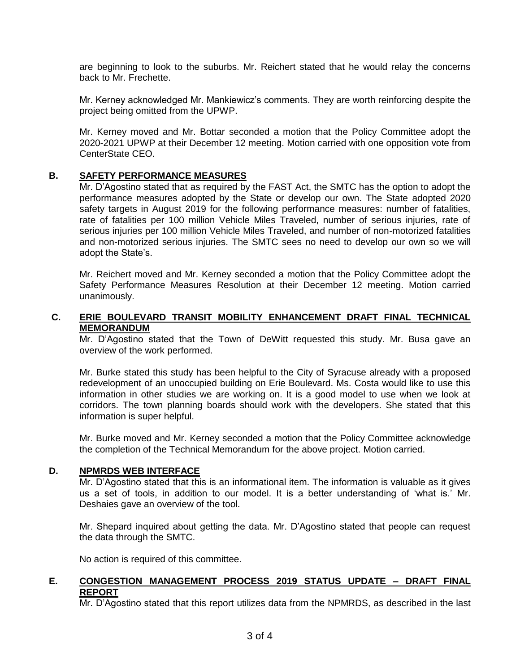are beginning to look to the suburbs. Mr. Reichert stated that he would relay the concerns back to Mr. Frechette.

Mr. Kerney acknowledged Mr. Mankiewicz's comments. They are worth reinforcing despite the project being omitted from the UPWP.

Mr. Kerney moved and Mr. Bottar seconded a motion that the Policy Committee adopt the 2020-2021 UPWP at their December 12 meeting. Motion carried with one opposition vote from CenterState CEO.

### **B. SAFETY PERFORMANCE MEASURES**

Mr. D'Agostino stated that as required by the FAST Act, the SMTC has the option to adopt the performance measures adopted by the State or develop our own. The State adopted 2020 safety targets in August 2019 for the following performance measures: number of fatalities, rate of fatalities per 100 million Vehicle Miles Traveled, number of serious injuries, rate of serious injuries per 100 million Vehicle Miles Traveled, and number of non-motorized fatalities and non-motorized serious injuries. The SMTC sees no need to develop our own so we will adopt the State's.

Mr. Reichert moved and Mr. Kerney seconded a motion that the Policy Committee adopt the Safety Performance Measures Resolution at their December 12 meeting. Motion carried unanimously.

### **C. ERIE BOULEVARD TRANSIT MOBILITY ENHANCEMENT DRAFT FINAL TECHNICAL MEMORANDUM**

Mr. D'Agostino stated that the Town of DeWitt requested this study. Mr. Busa gave an overview of the work performed.

Mr. Burke stated this study has been helpful to the City of Syracuse already with a proposed redevelopment of an unoccupied building on Erie Boulevard. Ms. Costa would like to use this information in other studies we are working on. It is a good model to use when we look at corridors. The town planning boards should work with the developers. She stated that this information is super helpful.

Mr. Burke moved and Mr. Kerney seconded a motion that the Policy Committee acknowledge the completion of the Technical Memorandum for the above project. Motion carried.

### **D. NPMRDS WEB INTERFACE**

Mr. D'Agostino stated that this is an informational item. The information is valuable as it gives us a set of tools, in addition to our model. It is a better understanding of 'what is.' Mr. Deshaies gave an overview of the tool.

Mr. Shepard inquired about getting the data. Mr. D'Agostino stated that people can request the data through the SMTC.

No action is required of this committee.

### **E. CONGESTION MANAGEMENT PROCESS 2019 STATUS UPDATE – DRAFT FINAL REPORT**

Mr. D'Agostino stated that this report utilizes data from the NPMRDS, as described in the last